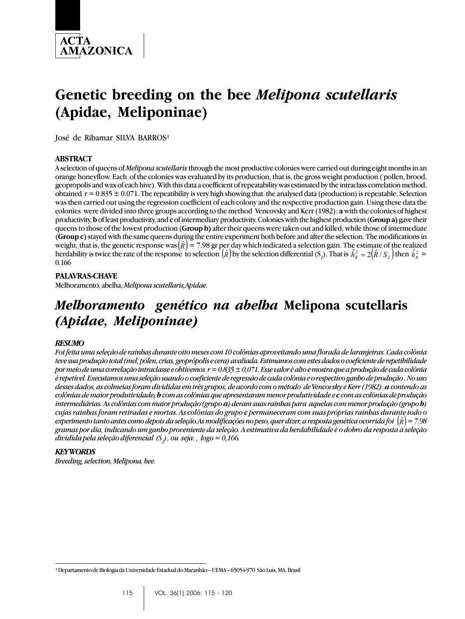

# **Genetic breeding on the bee** *Melipona scutellaris* **(Apidae, Meliponinae)**

José de Ribamar SILVA BARROS<sup>1</sup>

#### **ABSTRACT**

A selection of queens of *Melipona scutellaris* through the most productive colonies were carried out during eight months in an orange honeyflow. Each of the colonies was evaluated by its production, that is, the gross weight production ( pollen, brood, geopropolis and wax of each hive). With this data a coefficient of repeatability was estimated by the intraclass correlation method, obtained  $r = 0.835 \pm 0.071$ . The repeatibility is very high showing that the analysed data (production) is repeatable. Selection was then carried out using the regression coefficient of each colony and the respective production gain. Using these data the colonies were divided into three groups according to the method Vencovsky and Kerr (1982): **a** with the colonies of highest productivity, **b** of least productivity, and **c** of intermediary productivity. Colonies with the highest production (**Group a)** gave their queens to those of the lowest production (**Group b)** after their queens were taken out and killed; while those of intermediate (**Group c)** stayed with the same queens during the entire experiment both before and after the selection. The modifications in weight, that is, the genetic response was  $(\hat{R}) = 7.98$  gr per day which indicated a selection gain. The estimate of the realized herdability is twice the rate of the response to selection  $(\hat{R})$  by the selection differential  $(S_2)$ . That is  $\hat{h}_R^2 = 2(\hat{R}/S_2)$  then  $\hat{h}_R^2 =$ 0.166

#### **PALAVRAS-CHAVE**

Melhoramento, abelha, *Meliponascutellaris,Apidae.*

## *Melhoramento genético na abelha* **Melipona scutellaris** *(Apidae, Meliponinae)*

#### *RESUMO*

*Foi feita uma seleção de rainhas durante oito meses com 10 colônias aproveitando uma florada de laranjeiras. Cada colônia teve sua produção total (mel, pólen, crias, geoprópolis e cera) avaliada. Estimamos com estes dados o coeficiente de repetibilidade por meio de uma correlação intraclasse e obtivemos r = 0.835 ± 0,071. Esse valor é alto e mostra que a produção de cada colônia é repetível. Executamos uma seleção usando o coeficiente de regressão de cada colônia e o respectivo ganho de produção . No uso desses dados, as colmeias foram divididas em três grupos, de acordo com o método de Vencovsky e Kerr (1982): a contendo as colônias de maior produtividade; b com as colônias que apresentaram menor produtividade e c com as colônias de produção intermediárias. As colônias com maior produção (grupo a) deram suas rainhas para aquelas com menor produção (grupo b) cujas rainhas foram retiradas e mortas. As colônias do grupo c permaneceram com suas próprias rainhas durante todo o experimento tanto antes como depois da seleção.As modificações no peso, quer dizer, a resposta genética ocorrida foi* (*R*)ˆ *= 7.98 gramas por dia, indicando um ganho proveniente da seleção. A estimativa da herdabilidade é o dobro da resposta à seleção dividida pela seleção diferencial (S2 ), ou seja: , logo = 0,166.*

#### *KEY WORDS*

*Breeding, selection, Melipona, bee.*

<sup>&</sup>lt;sup>1</sup> Departamento de Biologia da Universidade Estadual do Maranhão - UEMA - 65054-970 São Luís, MA, Brasil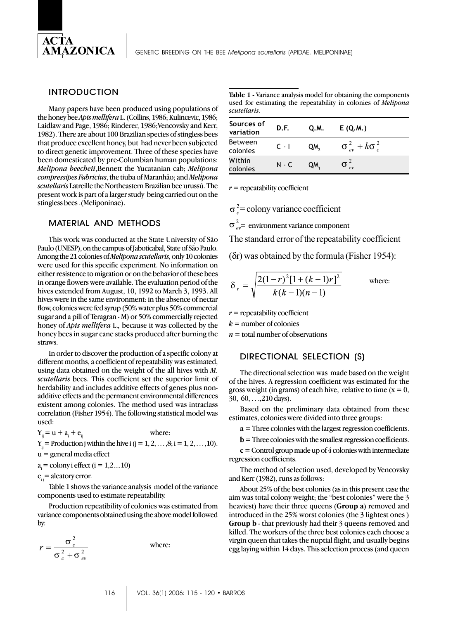

#### INTRODUCTION

Many papers have been produced using populations of the honey bee *Apis mellifera* L. (Collins, 1986; Kulincevic, 1986; Laidlaw and Page, 1986; Rinderer, 1986;Vencovsky and Kerr, 1982). There are about 100 Brazilian species of stingless bees that produce excellent honey, but had never been subjected to direct genetic improvement. Three of these species have been domesticated by pre-Columbian human populations: *Melipona beecheii*,Bennett the Yucatanian cab; *Melipona compressipes Fabricius*, the tiuba of Maranhão; and *Melipona scutellaris* Latreille the Northeastern Brazilian bee urussú. The present work is part of a larger study being carried out on the stingless bees .(Meliponinae).

#### MATERIAL AND METHODS

This work was conducted at the State University of São Paulo (UNESP), on the campus of Jaboticabal, State of São Paulo. Among the 21 colonies of *Melipona scutellaris,* only 10 colonies were used for this specific experiment. No information on either resistence to migration or on the behavior of these bees in orange flowers were available. The evaluation period of the hives extended from August, 10, 1992 to March 3, 1993. All hives were in the same environment: in the absence of nectar flow, colonies were fed syrup (50% water plus 50% commercial sugar and a pill of Teragran - M) or 50% commercially rejected honey of *Apis mellifera* L.*,* because it was collected by the honey bees in sugar cane stacks produced after burning the straws.

In order to discover the production of a specific colony at different months, a coefficient of repeatability was estimated, using data obtained on the weight of the all hives with *M. scutellaris* bees. This coefficient set the superior limit of herdability and includes additive effects of genes plus nonadditive effects and the permanent environmental differences existent among colonies. The method used was intraclass correlation (Fisher 1954). The following statistical model was used:

 $Y_{ij} = u + a_i + e_{ij}$  where:  $Y_i = \text{Production } j \text{ within the live } i (j = 1, 2, \ldots, 8; i = 1, 2, \ldots, 10).$ u = general media effect

 $a_i =$  colony i effect (i = 1,2....10)

 $e_{ii}$  = aleatory error.

Table 1 shows the variance analysis model of the variance components used to estimate repeatability.

Production repeatibility of colonies was estimated from variance components obtained using the above model followed by:

$$
r = \frac{\sigma_c^2}{\sigma_c^2 + \sigma_{ev}^2}
$$

where:

**Table 1 -** Variance analysis model for obtaining the components used for estimating the repeatability in colonies of *Melipona scutellaris*.

| Sources of<br>variation    | D.F.    | Q.M. | E(Q.M.)                          |  |
|----------------------------|---------|------|----------------------------------|--|
| <b>Between</b><br>colonies | $C - I$ | QM,  | $\sigma_{ev}^2 + k \sigma_{c}^2$ |  |
| Within<br>colonies         | $N - C$ | QM.  |                                  |  |

*r* = repeatability coefficient

 $\sigma^2$ = colony variance coefficient

 $\sigma_{ov}^2$  environment variance component

The standard error of the repeatability coefficient

(δr) was obtained by the formula (Fisher 1954):

$$
\delta_r = \sqrt{\frac{2(1-r)^2[1+(k-1)r]^2}{k(k-1)(n-1)}}
$$
 where:

*r* = repeatability coefficient

 $k =$  number of colonies

 $n =$  total number of observations

#### DIRECTIONAL SELECTION (S)

The directional selection was made based on the weight of the hives. A regression coefficient was estimated for the gross weight (in grams) of each hive, relative to time  $(x = 0)$ , 30, 60, . . .,210 days).

Based on the preliminary data obtained from these estimates, colonies were divided into three groups:

**a** = Three colonies with the largest regression coefficients.

**b** = Three colonies with the smallest regression coefficients.

**c** = Control group made up of 4 colonies with intermediate regression coefficients.

The method of selection used, developed by Vencovsky and Kerr (1982), runs as follows:

About 25% of the best colonies (as in this present case the aim was total colony weight; the "best colonies" were the 3 heaviest) have their three queens (**Group a**) removed and introduced in the 25% worst colonies (the 3 lightest ones ) **Group b** - that previously had their 3 queens removed and killed. The workers of the three best colonies each choose a virgin queen that takes the nuptial flight, and usually begins egg laying within 14 days. This selection process (and queen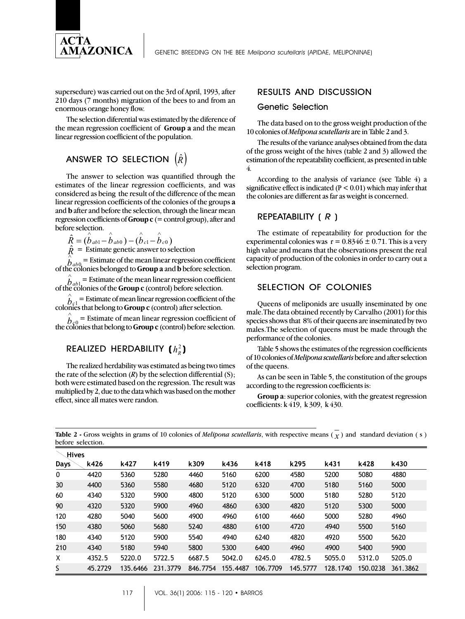

supersedure) was carried out on the 3rd of April, 1993, after 210 days (7 months) migration of the bees to and from an enormous orange honey flow.

The selection diferential was estimated by the diference of the mean regression coefficient of **Group a** and the mean linear regression coefficient of the population.

## ANSWER TO SELECTION  $(\hat{R})$

The answer to selection was quantified through the estimates of the linear regression coefficients, and was considered as being the result of the difference of the mean linear regression coefficients of the colonies of the groups **a** and **b** after and before the selection, through the linear mean regression coefficients of **Group c** (= control group), after and before selection.

$$
\hat{R} = (\hat{b}_{ab1} - \hat{b}_{ab0}) - (\hat{b}_{c1} - \hat{b}_{c0})
$$
\n
$$
\hat{R} = \text{Estimate genetic answer to selection}
$$

 $\overleftrightarrow{b}_{ab0} =$  Estimate of the mean linear regression coefficient of the colonies belonged to **Group a** and **b** before selection.

 $b_{ab}$ <sup> $=$ </sup> Estimate of the mean linear regression coeffice of the colonies of the **Group c** (control) before selection.  $\bar{E}_1$  = Estimate of the mean linear regression coefficient

*bc* ∧  $_1$  = Estimate of mean linear regression coefficient of the colonies that belong to **Group c** (control) after selection.

 $\hat{b}_{g0}$  = Estimate of mean linear regression coefficient of the colonies that belong to **Group c** (control) before selection.

## $\mathsf{REALIZED}$  HERDABILITY  $(\,h^2_k\,)$

The realized herdability was estimated as being two times the rate of the selection  $(R)$  by the selection differential  $(S)$ ; both were estimated based on the regression. The result was multiplied by 2, due to the data which was based on the mother effect, since all mates were randon.

### RESULTS AND DISCUSSION

#### Genetic Selection

The data based on to the gross weight production of the 10 colonies of *Melipona scutellaris* are in Table 2 and 3.

The results of the variance analyses obtained from the data of the gross weight of the hives (table 2 and 3) allowed the estimation of the repeatability coefficient, as presented in table 4.

According to the analysis of variance (see Table 4) a significative effect is indicated ( $P < 0.01$ ) which may infer that the colonies are different as far as weight is concerned.

#### REPEATABILITY ( *R* )

The estimate of repeatability for production for the experimental colonies was  $r = 0.8346 \pm 0.71$ . This is a very high value and means that the observations present the real capacity of production of the colonies in order to carry out a selection program.

#### SELECTION OF COLONIES

Queens of meliponids are usually inseminated by one male.The data obtained recently by Carvalho (2001) for this species shows that 8% of their queens are inseminated by two males.The selection of queens must be made through the performance of the colonies.

Table 5 shows the estimates of the regression coefficients of 10 colonies of *Meliponascutellaris* before and after selection of the queens.

As can be seen in Table 5, the constitution of the groups according to the regression coefficients is:

**Group a**: superior colonies, with the greatest regression coefficients: k 419, k 309, k 430.

**Table 2** - Gross weights in grams of 10 colonies of *Melipona scutellaris*, with respective means  $(\overline{x})$  and standard deviation (s) before selection.

| Hives |         |          |          |          |          |          |          |          |          |          |
|-------|---------|----------|----------|----------|----------|----------|----------|----------|----------|----------|
| Days  | k426    | k427     | k419     | k309     | k436     | k418     | k295     | k431     | k428     | k430     |
| 0     | 4420    | 5360     | 5280     | 4460     | 5160     | 6200     | 4580     | 5200     | 5080     | 4880     |
| 30    | 4400    | 5360     | 5580     | 4680     | 5120     | 6320     | 4700     | 5180     | 5160     | 5000     |
| 60    | 4340    | 5320     | 5900     | 4800     | 5120     | 6300     | 5000     | 5180     | 5280     | 5120     |
| 90    | 4320    | 5320     | 5900     | 4960     | 4860     | 6300     | 4820     | 5120     | 5300     | 5000     |
| 120   | 4280    | 5040     | 5600     | 4900     | 4960     | 6100     | 4660     | 5000     | 5280     | 4960     |
| 150   | 4380    | 5060     | 5680     | 5240     | 4880     | 6100     | 4720     | 4940     | 5500     | 5160     |
| 180   | 4340    | 5120     | 5900     | 5540     | 4940     | 6240     | 4820     | 4920     | 5500     | 5620     |
| 210   | 4340    | 5180     | 5940     | 5800     | 5300     | 6400     | 4960     | 4900     | 5400     | 5900     |
| X     | 4352.5  | 5220.0   | 5722.5   | 6687.5   | 5042.0   | 6245.0   | 4782.5   | 5055.0   | 5312.0   | 5205.0   |
| S.    | 45.2729 | 135.6466 | 231.3779 | 846.7754 | 155.4487 | 106.7709 | 145.5777 | 128.1740 | 150.0238 | 361.3862 |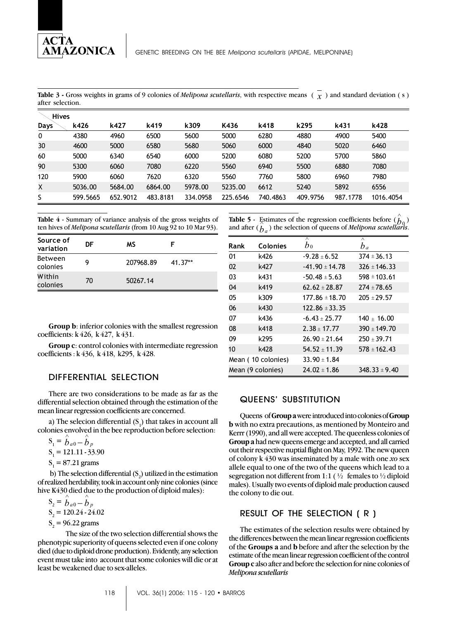AMAZONICA

**Table 3 -** Gross weights in grams of 9 colonies of *Melipona scutellaris*, with respective means ( *x* ) and standard deviation ( s ) after selection.

| <b>Hives</b> |          |          |          |          |          |          |          |          |           |
|--------------|----------|----------|----------|----------|----------|----------|----------|----------|-----------|
| <b>Days</b>  | k426     | k427     | k419     | k309     | K436     | k418     | k295     | k431     | k428      |
| 0            | 4380     | 4960     | 6500     | 5600     | 5000     | 6280     | 4880     | 4900     | 5400      |
| 30           | 4600     | 5000     | 6580     | 5680     | 5060     | 6000     | 4840     | 5020     | 6460      |
| 60           | 5000     | 6340     | 6540     | 6000     | 5200     | 6080     | 5200     | 5700     | 5860      |
| 90           | 5300     | 6060     | 7080     | 6220     | 5560     | 6940     | 5500     | 6880     | 7080      |
| 120          | 5900     | 6060     | 7620     | 6320     | 5560     | 7760     | 5800     | 6960     | 7980      |
| X            | 5036.00  | 5684.00  | 6864.00  | 5978.00  | 5235.00  | 6612     | 5240     | 5892     | 6556      |
| S            | 599.5665 | 652.9012 | 483.8181 | 334.0958 | 225.6546 | 740.4863 | 409.9756 | 987.1778 | 1016.4054 |

**Table 4** - Summary of variance analysis of the gross weights of ten hives of *Melipona* s*cutellaris* (from 10 Aug 92 to 10 Mar 93).

| Source of<br>variation | DF | ΜS        |         |
|------------------------|----|-----------|---------|
| Between<br>colonies    | g  | 207968.89 | 41.37** |
| Within<br>colonies     | 70 | 50267.14  |         |

**Table 5** - Estimates of the regression coefficients before  $\begin{pmatrix} \hat{b} \\ \hat{b} \\ 0 \end{pmatrix}$ and after  $(b_a)$  the selection of queens of *Melipona* scutellaris.

| Rank | Colonies           | $\overline{\wedge}$<br>$b_0$ | $\wedge$<br>$b_a$ |
|------|--------------------|------------------------------|-------------------|
| 01   | k426               | $-9.28 + 6.52$               | $374 \pm 36.13$   |
| 02   | k427               | $-41.90 \pm 14.78$           | $326 \pm 146.33$  |
| 03   | k431               | $-50.48 + 5.63$              | $598 \pm 103.61$  |
| 04   | k419               | $62.62 + 28.87$              | $274 + 78.65$     |
| 05   | k309               | $177.86 \pm 18.70$           | $205 \pm 29.57$   |
| 06   | k430               | $122.86 \pm 33.35$           |                   |
| 07   | k436               | $-6.43 \pm 25.77$            | $140 + 16.00$     |
| 08   | k418               | $2.38 + 17.77$               | $390 + 149.70$    |
| 09   | k295               | $26.90 \pm 21.64$            | $250 \pm 39.71$   |
| 10   | k428               | $54.52 \pm 11.39$            | $578 \pm 162.43$  |
|      | Mean (10 colonies) | $33.90 \pm 1.84$             |                   |
|      | Mean (9 colonies)  | $24.02 + 1.86$               | $348.33 \pm 9.40$ |

**Group b**: inferior colonies with the smallest regression coefficients: k 426, k 427, k 431.

**Group c**: control colonies with intermediate regression coefficients : k 436, k 418, k295, k 428.

#### DIFFERENTIAL SELECTION

There are two considerations to be made as far as the differential selection obtained through the estimation of the mean linear regression coefficients are concerned.

a) The selecion differential  $(\mathrm{S}_1)$  that takes in account all colonies envolved in the bee reproduction before selection:

$$
S_1 = \hat{b}_{a0} - \hat{b}_p
$$
  
S\_1 = 121.11 - 33.90

 $S_1 = 87.21$  grams

b) The selection differential  $(S_2)$  utilized in the estimation of realized herdability, took in account only nine colonies (since hive K430 died due to the production of diploid males):

 $S_2 = b_{a0} - b_p$  $S_2 = 120.24 - 24.02$  $S<sub>2</sub> = 96.22$  grams

The size of the two selection differential shows the phenotypic superiority of queens selected even if one colony died (due to diploid drone production). Evidently, any selection event must take into account that some colonies will die or at least be weakened due to sex-alleles.

#### QUEENS' SUBSTITUTION

Queensof **Group a** were introduced into colonies of **Group b** with no extra precautions, as mentioned by Monteiro and Kerrr (1990), and all were accepted. The queenless colonies of **Group a** had new queens emerge and accepted, and all carried out their respective nuptial flight on May, 1992. The new queen of colony k 430 was inseminated by a male with one *xo* sex allele equal to one of the two of the queens which lead to a segregation not different from 1:1 ( $\frac{1}{2}$  females to  $\frac{1}{2}$  diploid males). Usually two events of diploid male production caused the colony to die out.

#### RESULT OF THE SELECTION ( R )

The estimates of the selection results were obtained by the differences between the mean linear regression coefficients of the **Groups a** and **b** before and after the selection by the estimate of the mean linear regression coefficient of the control **Group c** also after and before the selection for nine colonies of *Meliponascutellaris*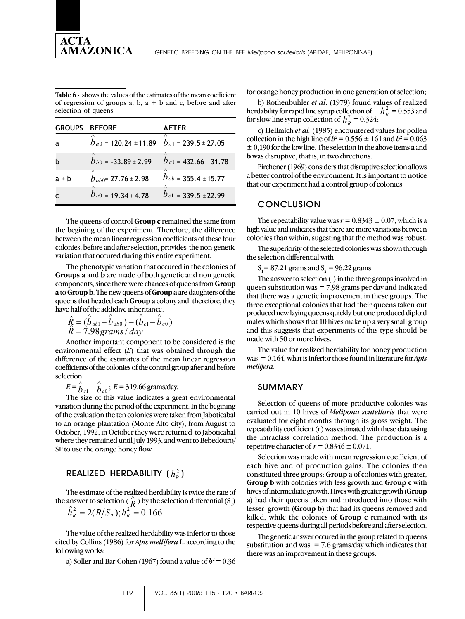

**Table 6 -** shows the values of the estimates of the mean coefficient of regression of groups  $a, b, a + b$  and c, before and after selection of queens.

| <b>GROUPS</b> | <b>BEFORE</b>                                           | <b>AFTER</b>              |
|---------------|---------------------------------------------------------|---------------------------|
|               | ∧<br>$b_{a0}$ = 120.24 ± 11.89 $b_{a1}$ = 239.5 ± 27.05 | ∧                         |
|               | $b_{b0}$ = -33.89 ± 2.99                                | $b_{a1}$ = 432.66 ± 31.78 |
| $a + b$       | $b_{ab0}$ = 27.76 ± 2.98                                | $b_{ab1}$ = 355.4 ± 15.77 |
|               | $b_{c0}$ = 19.34 ± 4.78                                 | $b_{c1}$ = 339.5 ± 22.99  |

The queens of control **Group c** remained the same from the begining of the experiment. Therefore, the difference between the mean linear regression coefficients of these four colonies, before and after selection, provides the non-genetic variation that occured during this entire experiment.

The phenotypic variation that occured in the colonies of **Groups a** and **b** are made of both genetic and non genetic components, since there were chances of queens from **Group a** to **Group b**. The new queens of **Group a** are daughters of the queens that headed each **Group a** colony and, therefore, they have half of the addidive inheritance: ∧ ∧ ∧ ∧

$$
\hat{R} = (\hat{b}_{ab1} - \hat{b}_{ab0}) - (\hat{b}_{c1} - \hat{b}_{c0})
$$
  

$$
\hat{R} = 7.98 \text{grams} / \text{day}
$$

Another important component to be considered is the environmental effect (*E*) that was obtained through the difference of the estimates of the mean linear regression coefficients of the colonies of the control group after and before selection.

 $E = \hat{b}_{c1} - \hat{b}_{c0}$ ;  $E = 319.66$  grams/day.

The size of this value indicates a great environmental variation during the period of the experiment. In the begining of the evaluation the ten colonies were taken from Jaboticabal to an orange plantation (Monte Alto city), from August to October, 1992; in October they were returned to Jaboticabal where they remained until July 1993, and went to Bebedouro/ SP to use the orange honey flow.

### REALIZED HERDABILITY ( $h_n^2$ )

The estimate of the realized herdability is twice the rate of the solution of the constant increased the causing, is once the time of the selection  $\overline{R}$  ) by the selection differential (S<sub>2</sub>)

$$
\hat{h}_R^2 = 2(R/S_2); h_R^2 = 0.166
$$

The value of the realized herdability was inferior to those cited by Collins (1986) for *Apis mellifera* L. according to the following works:

a) Soller and Bar-Cohen (1967) found a value of  $b^2 = 0.36$ 

for orange honey production in one generation of selection;

b) Rothenbuhler *et al*. (1979) found values of realized herdability for rapid line syrup collection of  $h_R^2 = 0.553$  and for slow line syrup collection of  $h_R^2 = 0.324$ ;

c) Hellmich *et al.* (1985) encountered values for pollen collection in the high line of  $h^2 = 0.556 \pm 161$  and  $h^2 = 0.063$ ± 0,190 for the low line. The selection in the above items **a** and **b** was disruptive, that is, in two directions.

Pirchener (1969) considers that disruptive selection allows a better control of the environment. It is important to notice that our experiment had a control group of colonies.

#### **CONCLUSION**

The repeatability value was  $r = 0.8343 \pm 0.07$ , which is a high value and indicates that there are more variations between colonies than within, sugesting that the method was robust.

The superiority of the selected colonies was shown through the selection differential with

 $S_1 = 87.21$  grams and  $S_2 = 96.22$  grams.

The answer to selection ( ) in the three groups involved in queen substitution was = 7.98 grams per day and indicated that there was a genetic improvement in these groups. The three exceptional colonies that had their queens taken out produced new laying queens quickly, but one produced diploid males which shows that 10 hives make up a very small group and this suggests that experiments of this type should be made with 50 or more hives.

The value for realized herdability for honey production was = 0.164, what is inferior those found in literature for *Apis mellifera*.

#### SUMMARY

Selection of queens of more productive colonies was carried out in 10 hives of *Melipona scutellaris* that were evaluated for eight months through its gross weight. The repeatability coefficient (r ) was estimated with these data using the intraclass correlation method. The production is a repetitive character of  $r = 0.8346 \pm 0.071$ .

Selection was made with mean regression coefficient of each hive and of production gains. The colonies then constituted three groups: **Group a** of colonies with greater, **Group b** with colonies with less growth and **Group c** with hives of intermediate growth. Hives with greater growth (**Group a**) had their queens taken and introduced into those with lesser growth (**Group b**) that had its queens removed and killed; while the colonies of **Group c** remained with its respective queens during all periods before and after selection.

The genetic answer occured in the group related to queens substitution and was  $= 7.6$  grams/day which indicates that there was an improvement in these groups.